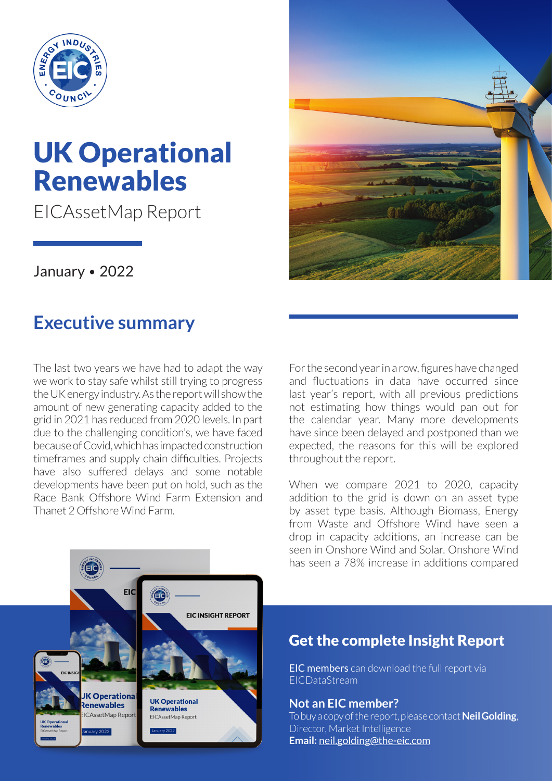

# UK Operational Renewables

EICAssetMap Report

January • 2022

## **Executive summary**

The last two years we have had to adapt the way we work to stay safe whilst still trying to progress the UK energy industry. As the report will show the amount of new generating capacity added to the grid in 2021 has reduced from 2020 levels. In part due to the challenging condition's, we have faced because of Covid, which has impacted construction timeframes and supply chain difficulties. Projects have also suffered delays and some notable developments have been put on hold, such as the Race Bank Offshore Wind Farm Extension and Thanet 2 Offshore Wind Farm.



For the second year in a row, figures have changed and fluctuations in data have occurred since last year's report, with all previous predictions not estimating how things would pan out for the calendar year. Many more developments have since been delayed and postponed than we expected, the reasons for this will be explored throughout the report.

When we compare 2021 to 2020, capacity addition to the grid is down on an asset type by asset type basis. Although Biomass, Energy from Waste and Offshore Wind have seen a drop in capacity additions, an increase can be seen in Onshore Wind and Solar. Onshore Wind has seen a 78% increase in additions compared



#### Get the complete Insight Report

EIC members can download the full report via EICDataStream

**Not an EIC member?** To buy a copy of the report, please contact **Neil Golding**, Director, Market Intelligence **Email:** [neil.golding@the-eic.com](mailto:neil.golding@the-eic.com)